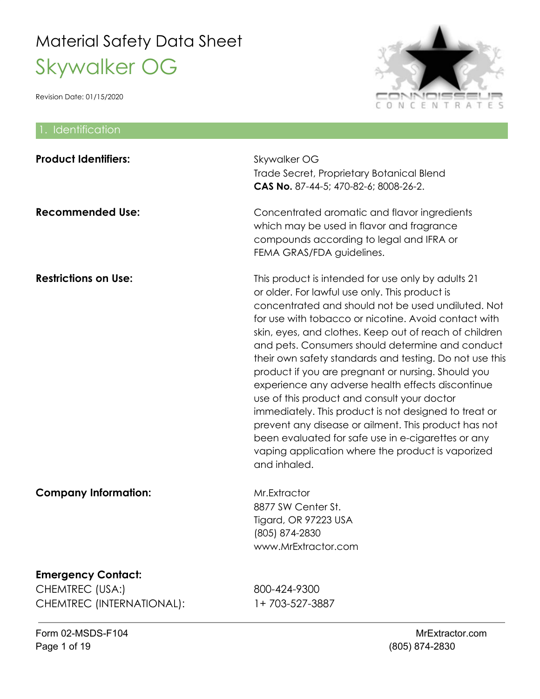

| 1. Identification                                                         |                                                                                                                                                                                                                                                                                                                                                                                                                                                                                                                                                                                                                                                                                                                                                                                                   |
|---------------------------------------------------------------------------|---------------------------------------------------------------------------------------------------------------------------------------------------------------------------------------------------------------------------------------------------------------------------------------------------------------------------------------------------------------------------------------------------------------------------------------------------------------------------------------------------------------------------------------------------------------------------------------------------------------------------------------------------------------------------------------------------------------------------------------------------------------------------------------------------|
| <b>Product Identifiers:</b>                                               | Skywalker OG<br>Trade Secret, Proprietary Botanical Blend<br>CAS No. 87-44-5; 470-82-6; 8008-26-2.                                                                                                                                                                                                                                                                                                                                                                                                                                                                                                                                                                                                                                                                                                |
| <b>Recommended Use:</b>                                                   | Concentrated aromatic and flavor ingredients<br>which may be used in flavor and fragrance<br>compounds according to legal and IFRA or<br>FEMA GRAS/FDA guidelines.                                                                                                                                                                                                                                                                                                                                                                                                                                                                                                                                                                                                                                |
| <b>Restrictions on Use:</b>                                               | This product is intended for use only by adults 21<br>or older. For lawful use only. This product is<br>concentrated and should not be used undiluted. Not<br>for use with tobacco or nicotine. Avoid contact with<br>skin, eyes, and clothes. Keep out of reach of children<br>and pets. Consumers should determine and conduct<br>their own safety standards and testing. Do not use this<br>product if you are pregnant or nursing. Should you<br>experience any adverse health effects discontinue<br>use of this product and consult your doctor<br>immediately. This product is not designed to treat or<br>prevent any disease or ailment. This product has not<br>been evaluated for safe use in e-cigarettes or any<br>vaping application where the product is vaporized<br>and inhaled. |
| <b>Company Information:</b>                                               | Mr.Extractor<br>8877 SW Center St.<br>Tigard, OR 97223 USA<br>(805) 874-2830<br>www.MrExtractor.com                                                                                                                                                                                                                                                                                                                                                                                                                                                                                                                                                                                                                                                                                               |
| <b>Emergency Contact:</b><br>CHEMTREC (USA:)<br>CHEMTREC (INTERNATIONAL): | 800-424-9300<br>1+703-527-3887                                                                                                                                                                                                                                                                                                                                                                                                                                                                                                                                                                                                                                                                                                                                                                    |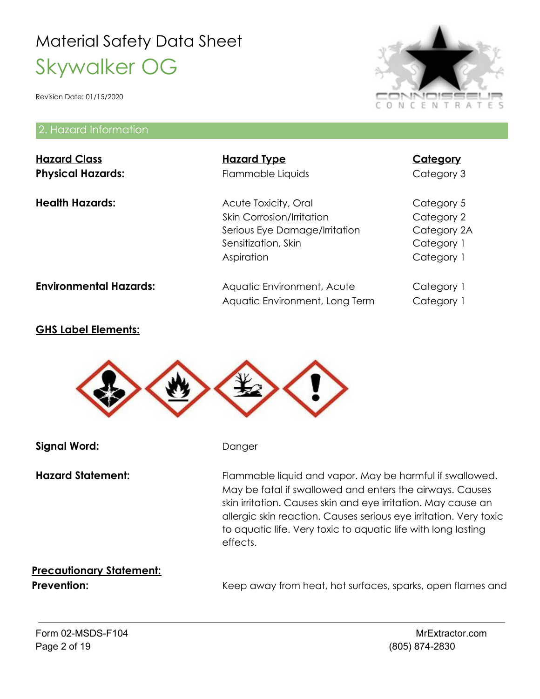Revision Date: 01/15/2020

#### 2. Hazard Information



#### **GHS Label Elements:**



**Signal Word:** Danger

Hazard Statement: Flammable liquid and vapor. May be harmful if swallowed. May be fatal if swallowed and enters the airways. Causes skin irritation. Causes skin and eye irritation. May cause an allergic skin reaction. Causes serious eye irritation. Very toxic to aquatic life. Very toxic to aquatic life with long lasting effects.

# **Precautionary Statement:**

**Prevention:** Keep away from heat, hot surfaces, sparks, open flames and

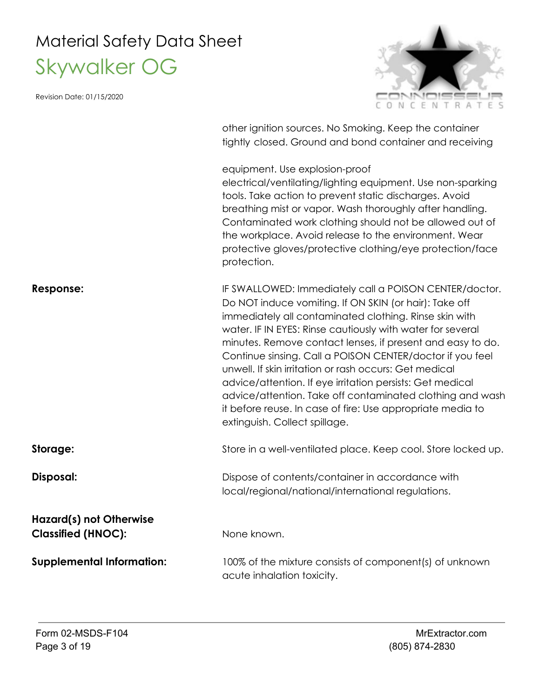Revision Date: 01/15/2020



other ignition sources. No Smoking. Keep the container tightly closed. Ground and bond container and receiving

equipment. Use explosion-proof

electrical/ventilating/lighting equipment. Use non-sparking tools. Take action to prevent static discharges. Avoid breathing mist or vapor. Wash thoroughly after handling. Contaminated work clothing should not be allowed out of the workplace. Avoid release to the environment. Wear protective gloves/protective clothing/eye protection/face protection.

**Response: IF SWALLOWED: Immediately call a POISON CENTER/doctor.** Do NOT induce vomiting. If ON SKIN (or hair): Take off immediately all contaminated clothing. Rinse skin with water. IF IN EYES: Rinse cautiously with water for several minutes. Remove contact lenses, if present and easy to do. Continue sinsing. Call a POISON CENTER/doctor if you feel unwell. If skin irritation or rash occurs: Get medical advice/attention. If eye irritation persists: Get medical advice/attention. Take off contaminated clothing and wash it before reuse. In case of fire: Use appropriate media to extinguish. Collect spillage. **Storage:** Store in a well-ventilated place. Keep cool. Store locked up. **Disposal:** Dispose of contents/container in accordance with local/regional/national/international regulations.

**Hazard(s) not Otherwise Classified (HNOC):** None known.

**Supplemental Information:** 100% of the mixture consists of component(s) of unknown acute inhalation toxicity.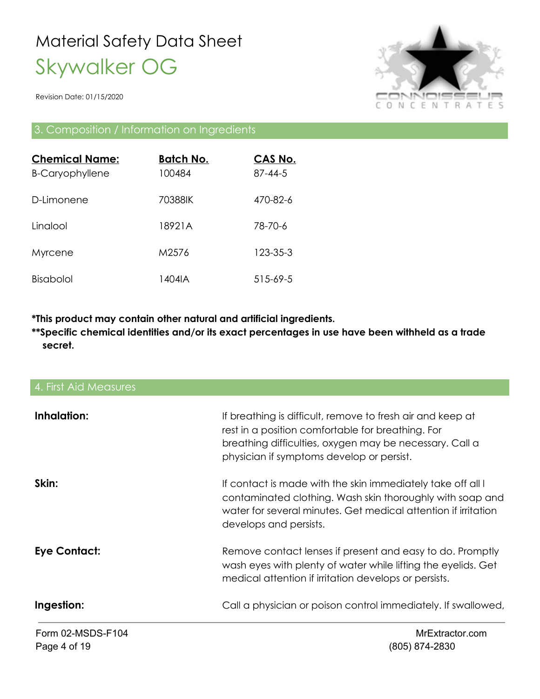Revision Date: 01/15/2020



#### 3. Composition / Information on Ingredients

| <b>Chemical Name:</b><br><b>B-Caryophyllene</b> | <b>Batch No.</b><br>100484 | CAS No.<br>$87 - 44 - 5$ |
|-------------------------------------------------|----------------------------|--------------------------|
| D-I imonene                                     | 70388IK                    | 470-82-6                 |
| Linalool                                        | 18921A                     | 78-70-6                  |
| Myrcene                                         | M2576                      | 123-35-3                 |
| Bisabolol                                       | 1404IA                     | 515-69-5                 |

**\*This product may contain other natural and artificial ingredients.**

**\*\*Specific chemical identities and/or its exact percentages in use have been withheld as a trade secret.**

| 4. First Aid Measures |                                                                                                                                                                                                                         |
|-----------------------|-------------------------------------------------------------------------------------------------------------------------------------------------------------------------------------------------------------------------|
| Inhalation:           | If breathing is difficult, remove to fresh air and keep at<br>rest in a position comfortable for breathing. For<br>breathing difficulties, oxygen may be necessary. Call a<br>physician if symptoms develop or persist. |
| Skin:                 | If contact is made with the skin immediately take off all I<br>contaminated clothing. Wash skin thoroughly with soap and<br>water for several minutes. Get medical attention if irritation<br>develops and persists.    |
| <b>Eye Contact:</b>   | Remove contact lenses if present and easy to do. Promptly<br>wash eyes with plenty of water while lifting the eyelids. Get<br>medical attention if irritation develops or persists.                                     |
| Ingestion:            | Call a physician or poison control immediately. If swallowed,                                                                                                                                                           |
| Form 02-MSDS-F104     | MrExtractor.com                                                                                                                                                                                                         |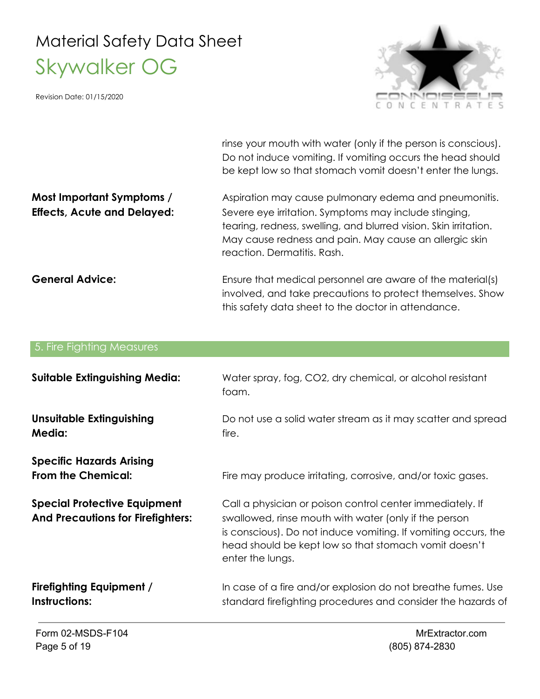Revision Date: 01/15/2020



rinse your mouth with water (only if the person is conscious). Do not induce vomiting. If vomiting occurs the head should be kept low so that stomach vomit doesn't enter the lungs.

**Most Important Symptoms /** Aspiration may cause pulmonary edema and pneumonitis. **Effects, Acute and Delayed:** Severe eye irritation. Symptoms may include stinging, tearing, redness, swelling, and blurred vision. Skin irritation. May cause redness and pain. May cause an allergic skin reaction. Dermatitis. Rash.

**General Advice:** Ensure that medical personnel are aware of the material(s) involved, and take precautions to protect themselves. Show this safety data sheet to the doctor in attendance.

| 5. Fire Fighting Measures                                                       |                                                                                                                                                                                                                                                                   |
|---------------------------------------------------------------------------------|-------------------------------------------------------------------------------------------------------------------------------------------------------------------------------------------------------------------------------------------------------------------|
| <b>Suitable Extinguishing Media:</b>                                            | Water spray, fog, CO2, dry chemical, or alcohol resistant<br>foam.                                                                                                                                                                                                |
| <b>Unsuitable Extinguishing</b><br><b>Media:</b>                                | Do not use a solid water stream as it may scatter and spread<br>fire.                                                                                                                                                                                             |
| <b>Specific Hazards Arising</b><br><b>From the Chemical:</b>                    | Fire may produce irritating, corrosive, and/or toxic gases.                                                                                                                                                                                                       |
| <b>Special Protective Equipment</b><br><b>And Precautions for Firefighters:</b> | Call a physician or poison control center immediately. If<br>swallowed, rinse mouth with water (only if the person<br>is conscious). Do not induce vomiting. If vomiting occurs, the<br>head should be kept low so that stomach vomit doesn't<br>enter the lungs. |
| <b>Firefighting Equipment /</b><br>Instructions:                                | In case of a fire and/or explosion do not breathe fumes. Use<br>standard firefighting procedures and consider the hazards of                                                                                                                                      |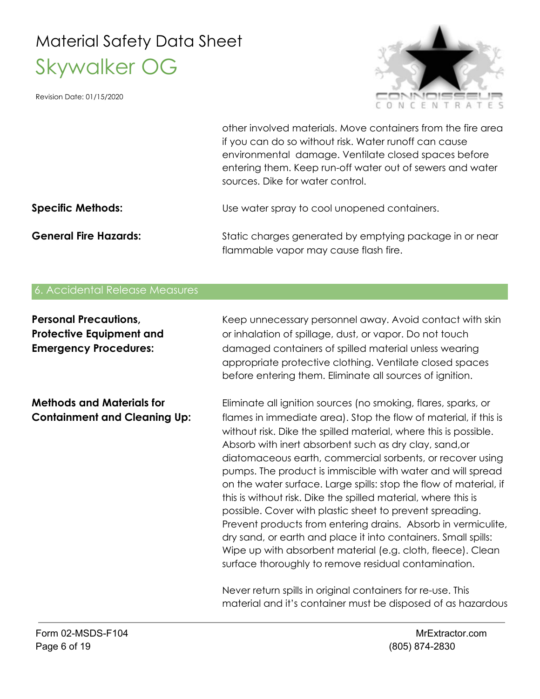Revision Date: 01/15/2020



other involved materials. Move containers from the fire area if you can do so without risk. Water runoff can cause environmental damage. Ventilate closed spaces before entering them. Keep run-off water out of sewers and water sources. Dike for water control.

#### **Specific Methods:** Use water spray to cool unopened containers.

**General Fire Hazards:** Static charges generated by emptying package in or near flammable vapor may cause flash fire.

#### 6. Accidental Release Measures

| <b>Personal Precautions,</b><br><b>Protective Equipment and</b><br><b>Emergency Procedures:</b> | Keep unnecessary personnel away. Avoid contact with skin<br>or inhalation of spillage, dust, or vapor. Do not touch<br>damaged containers of spilled material unless wearing<br>appropriate protective clothing. Ventilate closed spaces<br>before entering them. Eliminate all sources of ignition.                                                                                                                                                                                                                                                                                                                                                                                                                                                                                                                                                      |
|-------------------------------------------------------------------------------------------------|-----------------------------------------------------------------------------------------------------------------------------------------------------------------------------------------------------------------------------------------------------------------------------------------------------------------------------------------------------------------------------------------------------------------------------------------------------------------------------------------------------------------------------------------------------------------------------------------------------------------------------------------------------------------------------------------------------------------------------------------------------------------------------------------------------------------------------------------------------------|
| <b>Methods and Materials for</b><br><b>Containment and Cleaning Up:</b>                         | Eliminate all ignition sources (no smoking, flares, sparks, or<br>flames in immediate area). Stop the flow of material, if this is<br>without risk. Dike the spilled material, where this is possible.<br>Absorb with inert absorbent such as dry clay, sand, or<br>diatomaceous earth, commercial sorbents, or recover using<br>pumps. The product is immiscible with water and will spread<br>on the water surface. Large spills: stop the flow of material, if<br>this is without risk. Dike the spilled material, where this is<br>possible. Cover with plastic sheet to prevent spreading.<br>Prevent products from entering drains. Absorb in vermiculite,<br>dry sand, or earth and place it into containers. Small spills:<br>Wipe up with absorbent material (e.g. cloth, fleece). Clean<br>surface thoroughly to remove residual contamination. |
|                                                                                                 | Never return spills in original containers for re-use. This<br>material and it's container must be disposed of as hazardous                                                                                                                                                                                                                                                                                                                                                                                                                                                                                                                                                                                                                                                                                                                               |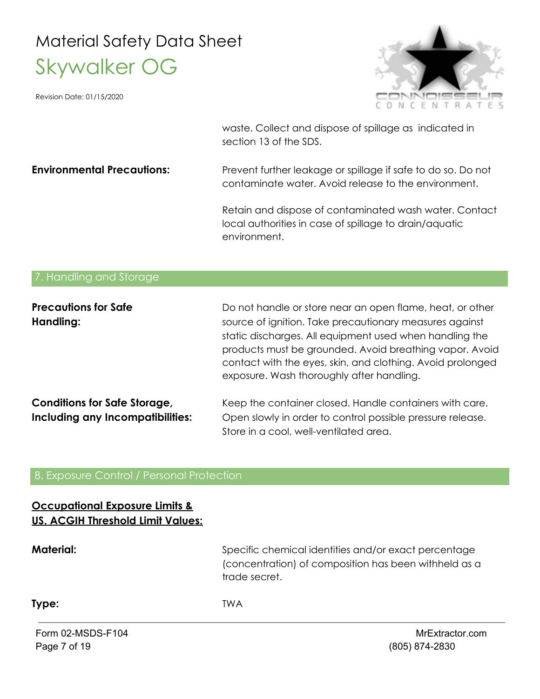Revision Date: 01/15/2020



waste. Collect and dispose of spillage as indicated in section 13 of the SDS.

**Environmental Precautions:** Prevent further leakage or spillage if safe to do so. Do not contaminate water. Avoid release to the environment.

> Retain and dispose of contaminated wash water. Contact local authorities in case of spillage to drain/aquatic environment.

#### 7. Handling and Storage

| <b>Precautions for Safe</b><br>Handling: | Do not handle or store near an open flame, heat, or other<br>source of ignition. Take precautionary measures against<br>static discharges. All equipment used when handling the<br>products must be grounded. Avoid breathing vapor. Avoid<br>contact with the eyes, skin, and clothing. Avoid prolonged<br>exposure. Wash thoroughly after handling. |
|------------------------------------------|-------------------------------------------------------------------------------------------------------------------------------------------------------------------------------------------------------------------------------------------------------------------------------------------------------------------------------------------------------|
| <b>Conditions for Safe Storage,</b>      | Keep the container closed. Handle containers with care.                                                                                                                                                                                                                                                                                               |
| Including any Incompatibilities:         | Open slowly in order to control possible pressure release.                                                                                                                                                                                                                                                                                            |
|                                          | Store in a cool, well-ventilated area.                                                                                                                                                                                                                                                                                                                |

#### 8. Exposure Control / Personal Protection

#### **Occupational Exposure Limits & US. ACGIH Threshold Limit Values:**

**Material:** Specific chemical identities and/or exact percentage (concentration) of composition has been withheld as a trade secret.

**Type:** TWA

Form 02-MSDS-F104 MrExtractor.com Page 7 of 19 (805) 874-2830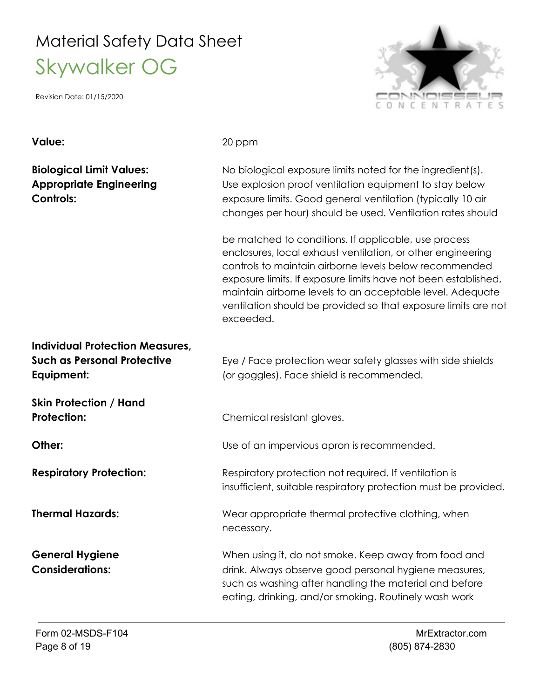Revision Date: 01/15/2020

# F N R

**Value:** 20 ppm

**Biological Limit Values:** No biological exposure limits noted for the ingredient(s). **Appropriate Engineering** Use explosion proof ventilation equipment to stay below **Controls:** exposure limits. Good general ventilation (typically 10 air changes per hour) should be used. Ventilation rates should

> be matched to conditions. If applicable, use process enclosures, local exhaust ventilation, or other engineering controls to maintain airborne levels below recommended exposure limits. If exposure limits have not been established, maintain airborne levels to an acceptable level. Adequate ventilation should be provided so that exposure limits are not exceeded.

# **Individual Protection Measures,**

**Such as Personal Protective** Eye / Face protection wear safety glasses with side shields **Equipment:**  $\qquad \qquad \qquad$  (or goggles). Face shield is recommended.

**Skin Protection / Hand**

**Protection:** Chemical resistant gloves.

**Other:** Commended. Use of an impervious apron is recommended.

**Respiratory Protection:** Respiratory protection not required. If ventilation is insufficient, suitable respiratory protection must be provided.

**Thermal Hazards:** Wear appropriate thermal protective clothing, when necessary.

**General Hygiene** When using it, do not smoke. Keep away from food and **Considerations:** drink. Always observe good personal hygiene measures, such as washing after handling the material and before eating, drinking, and/or smoking. Routinely wash work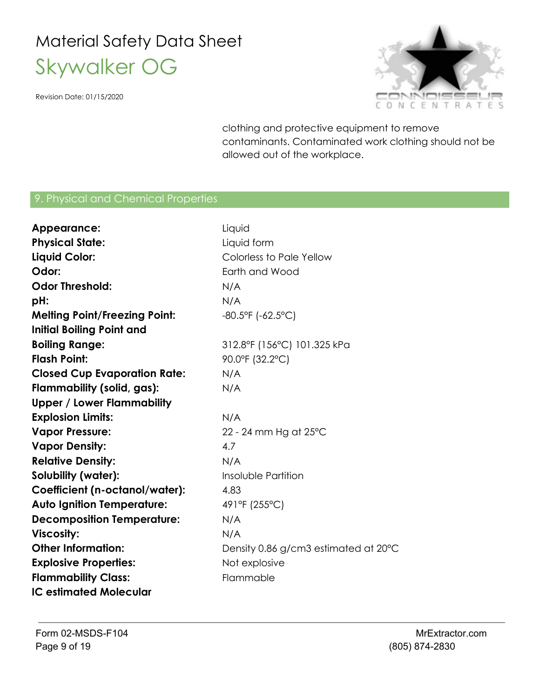Revision Date: 01/15/2020



clothing and protective equipment to remove contaminants. Contaminated work clothing should not be allowed out of the workplace.

#### 9. Physical and Chemical Properties

| Appearance:                          | Liquid                               |
|--------------------------------------|--------------------------------------|
| <b>Physical State:</b>               | Liquid form                          |
| Liquid Color:                        | Colorless to Pale Yellow             |
| Odor:                                | Earth and Wood                       |
| <b>Odor Threshold:</b>               | N/A                                  |
| pH:                                  | N/A                                  |
| <b>Melting Point/Freezing Point:</b> | $-80.5$ °F ( $-62.5$ °C)             |
| <b>Initial Boiling Point and</b>     |                                      |
| <b>Boiling Range:</b>                | 312.8°F (156°C) 101.325 kPa          |
| <b>Flash Point:</b>                  | 90.0°F (32.2°C)                      |
| <b>Closed Cup Evaporation Rate:</b>  | N/A                                  |
| Flammability (solid, gas):           | N/A                                  |
| <b>Upper / Lower Flammability</b>    |                                      |
| <b>Explosion Limits:</b>             | N/A                                  |
| <b>Vapor Pressure:</b>               | 22 - 24 mm Hg at 25°C                |
| <b>Vapor Density:</b>                | 4.7                                  |
| <b>Relative Density:</b>             | N/A                                  |
| Solubility (water):                  | Insoluble Partition                  |
| Coefficient (n-octanol/water):       | 4.83                                 |
| <b>Auto Ignition Temperature:</b>    | 491°F (255°C)                        |
| <b>Decomposition Temperature:</b>    | N/A                                  |
| <b>Viscosity:</b>                    | N/A                                  |
| <b>Other Information:</b>            | Density 0.86 g/cm3 estimated at 20°C |
| <b>Explosive Properties:</b>         | Not explosive                        |
| <b>Flammability Class:</b>           | Flammable                            |
| <b>IC estimated Molecular</b>        |                                      |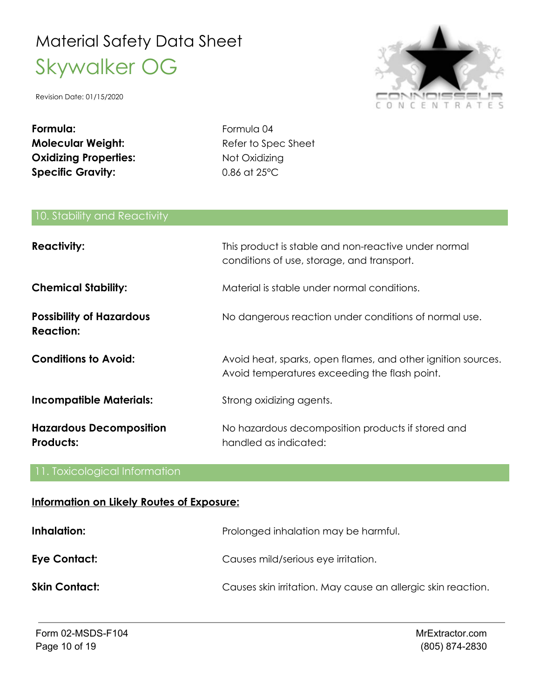Revision Date: 01/15/2020



**Formula:** Formula 04 **Molecular Weight:** Refer to Spec Sheet **Oxidizing Properties:** Not Oxidizing **Specific Gravity:** 0.86 at 25°C

#### 10. Stability and Reactivity

| <b>Reactivity:</b>                                  | This product is stable and non-reactive under normal<br>conditions of use, storage, and transport.            |
|-----------------------------------------------------|---------------------------------------------------------------------------------------------------------------|
| <b>Chemical Stability:</b>                          | Material is stable under normal conditions.                                                                   |
| <b>Possibility of Hazardous</b><br><b>Reaction:</b> | No dangerous reaction under conditions of normal use.                                                         |
| <b>Conditions to Avoid:</b>                         | Avoid heat, sparks, open flames, and other ignition sources.<br>Avoid temperatures exceeding the flash point. |
| <b>Incompatible Materials:</b>                      | Strong oxidizing agents.                                                                                      |
| <b>Hazardous Decomposition</b><br>Products:         | No hazardous decomposition products if stored and<br>handled as indicated:                                    |

#### 11. Toxicological Information

#### **Information on Likely Routes of Exposure:**

| Inhalation:          | Prolonged inhalation may be harmful.                         |
|----------------------|--------------------------------------------------------------|
| Eye Contact:         | Causes mild/serious eye irritation.                          |
| <b>Skin Contact:</b> | Causes skin irritation. May cause an allergic skin reaction. |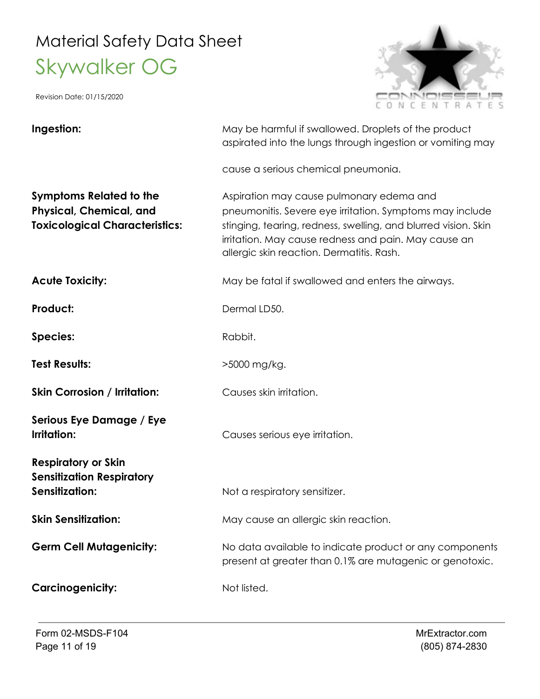Revision Date: 01/15/2020



#### **Ingestion:** May be harmful if swallowed. Droplets of the product aspirated into the lungs through ingestion or vomiting may cause a serious chemical pneumonia. **Symptoms Related to the** Aspiration may cause pulmonary edema and **Physical, Chemical, and** pneumonitis. Severe eye irritation. Symptoms may include **Toxicological Characteristics:** stinging, tearing, redness, swelling, and blurred vision. Skin irritation. May cause redness and pain. May cause an allergic skin reaction. Dermatitis. Rash. **Acute Toxicity:** May be fatal if swallowed and enters the airways. **Product:** Dermal LD50. Species: Rabbit. **Test Results:** >5000 mg/kg. **Skin Corrosion / Irritation:** Causes skin irritation. **Serious Eye Damage / Eye Irritation:** Causes serious eye irritation. **Respiratory or Skin Sensitization Respiratory Sensitization:** Not a respiratory sensitizer. **Skin Sensitization:** May cause an allergic skin reaction. **Germ Cell Mutagenicity:** No data available to indicate product or any components present at greater than 0.1% are mutagenic or genotoxic. **Carcinogenicity:** Not listed.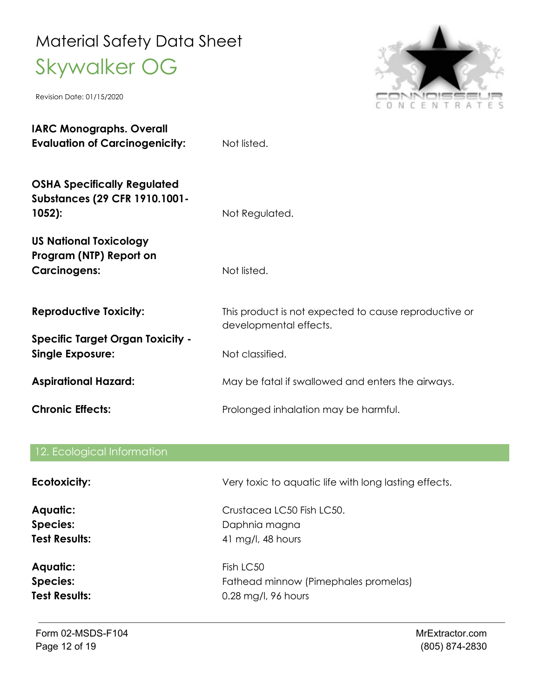Revision Date: 01/15/2020



| <b>IARC Monographs. Overall</b><br><b>Evaluation of Carcinogenicity:</b>               | Not listed.                                                                     |
|----------------------------------------------------------------------------------------|---------------------------------------------------------------------------------|
| <b>OSHA Specifically Regulated</b><br><b>Substances (29 CFR 1910.1001-</b><br>$1052$ : | Not Regulated.                                                                  |
| <b>US National Toxicology</b><br>Program (NTP) Report on<br><b>Carcinogens:</b>        | Not listed.                                                                     |
| <b>Reproductive Toxicity:</b>                                                          | This product is not expected to cause reproductive or<br>developmental effects. |
| <b>Specific Target Organ Toxicity -</b><br><b>Single Exposure:</b>                     | Not classified.                                                                 |
| <b>Aspirational Hazard:</b>                                                            | May be fatal if swallowed and enters the airways.                               |
| <b>Chronic Effects:</b>                                                                | Prolonged inhalation may be harmful.                                            |

# 12. Ecological Information **Ecotoxicity: Interest Act of Act Very toxic to aquatic life with long lasting effects.**

**Aquatic:** Crustacea LC50 Fish LC50. Species: Daphnia magna **Test Results:** 41 mg/l, 48 hours

Aquatic: Fish LC50 **Species:** Fathead minnow (Pimephales promelas) **Test Results:** 0.28 mg/l, 96 hours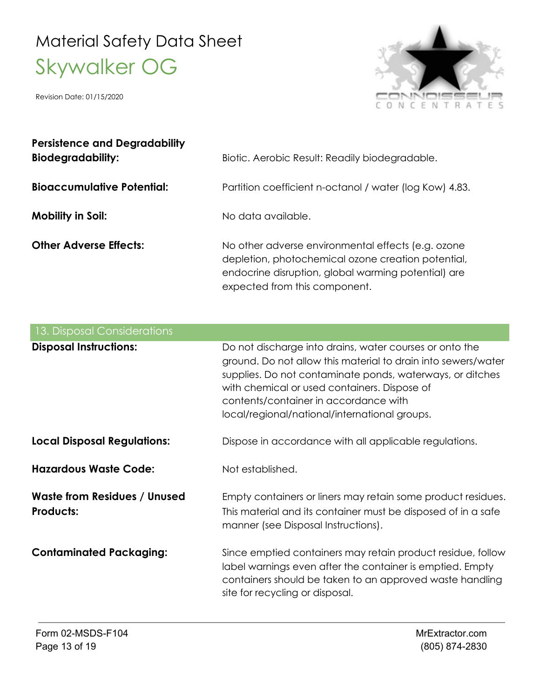

| <b>Persistence and Degradability</b><br><b>Biodegradability:</b> | Biotic. Aerobic Result: Readily biodegradable.                                                                                                                                                   |
|------------------------------------------------------------------|--------------------------------------------------------------------------------------------------------------------------------------------------------------------------------------------------|
| <b>Bioaccumulative Potential:</b>                                | Partition coefficient n-octanol / water (log Kow) 4.83.                                                                                                                                          |
| Mobility in Soil:                                                | No data available.                                                                                                                                                                               |
| <b>Other Adverse Effects:</b>                                    | No other adverse environmental effects (e.g. ozone<br>depletion, photochemical ozone creation potential,<br>endocrine disruption, global warming potential) are<br>expected from this component. |

| <b>13. Disposal Considerations</b>                      |                                                                                                                                                                                                                                                                                                                                 |
|---------------------------------------------------------|---------------------------------------------------------------------------------------------------------------------------------------------------------------------------------------------------------------------------------------------------------------------------------------------------------------------------------|
| <b>Disposal Instructions:</b>                           | Do not discharge into drains, water courses or onto the<br>ground. Do not allow this material to drain into sewers/water<br>supplies. Do not contaminate ponds, waterways, or ditches<br>with chemical or used containers. Dispose of<br>contents/container in accordance with<br>local/regional/national/international groups. |
| <b>Local Disposal Regulations:</b>                      | Dispose in accordance with all applicable regulations.                                                                                                                                                                                                                                                                          |
| <b>Hazardous Waste Code:</b>                            | Not established.                                                                                                                                                                                                                                                                                                                |
| <b>Waste from Residues / Unused</b><br><b>Products:</b> | Empty containers or liners may retain some product residues.<br>This material and its container must be disposed of in a safe<br>manner (see Disposal Instructions).                                                                                                                                                            |
| <b>Contaminated Packaging:</b>                          | Since emptied containers may retain product residue, follow<br>label warnings even after the container is emptied. Empty<br>containers should be taken to an approved waste handling<br>site for recycling or disposal.                                                                                                         |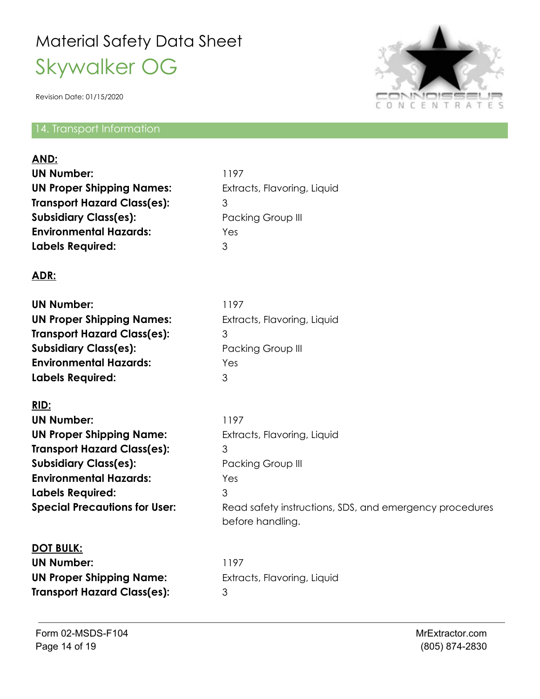Revision Date: 01/15/2020

#### 14. Transport Information



| AND:<br><b>UN Number:</b><br><b>UN Proper Shipping Names:</b><br><b>Transport Hazard Class(es):</b><br><b>Subsidiary Class(es):</b><br><b>Environmental Hazards:</b><br><b>Labels Required:</b>                                        | 1197<br>Extracts, Flavoring, Liquid<br>3<br>Packing Group III<br>Yes<br>3                                                                                |
|----------------------------------------------------------------------------------------------------------------------------------------------------------------------------------------------------------------------------------------|----------------------------------------------------------------------------------------------------------------------------------------------------------|
| ADR:                                                                                                                                                                                                                                   |                                                                                                                                                          |
| <b>UN Number:</b><br><b>UN Proper Shipping Names:</b><br><b>Transport Hazard Class(es):</b><br><b>Subsidiary Class(es):</b><br><b>Environmental Hazards:</b><br><b>Labels Required:</b>                                                | 1197<br>Extracts, Flavoring, Liquid<br>3<br>Packing Group III<br>Yes<br>3                                                                                |
| RID:<br><b>UN Number:</b><br><b>UN Proper Shipping Name:</b><br><b>Transport Hazard Class(es):</b><br><b>Subsidiary Class(es):</b><br><b>Environmental Hazards:</b><br><b>Labels Required:</b><br><b>Special Precautions for User:</b> | 1197<br>Extracts, Flavoring, Liquid<br>3<br>Packing Group III<br>Yes<br>3<br>Read safety instructions, SDS, and emergency procedures<br>before handling. |
| <b>DOT BULK:</b><br><b>UN Number:</b><br><b>UN Proper Shipping Name:</b><br><b>Transport Hazard Class(es):</b>                                                                                                                         | 1197<br>Extracts, Flavoring, Liquid<br>3                                                                                                                 |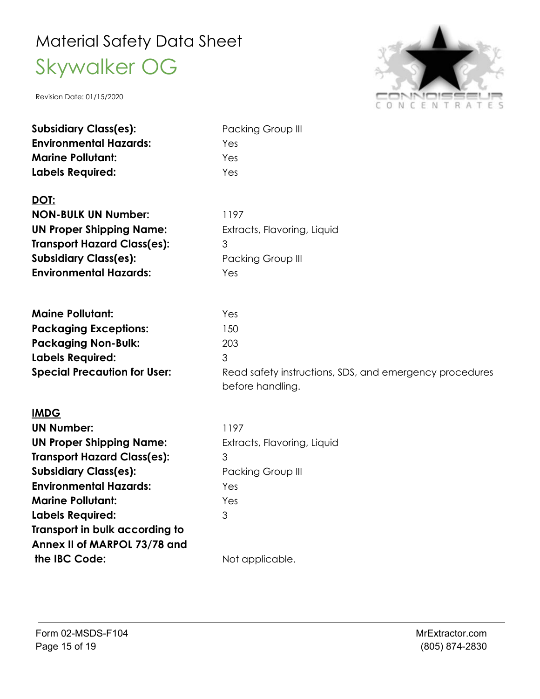

| <b>Subsidiary Class(es):</b>        | Packing Group III                                       |
|-------------------------------------|---------------------------------------------------------|
| <b>Environmental Hazards:</b>       | Yes                                                     |
| <b>Marine Pollutant:</b>            | Yes                                                     |
| <b>Labels Required:</b>             | Yes                                                     |
|                                     |                                                         |
| DOT:                                |                                                         |
| <b>NON-BULK UN Number:</b>          | 1197                                                    |
| <b>UN Proper Shipping Name:</b>     | Extracts, Flavoring, Liquid                             |
| <b>Transport Hazard Class(es):</b>  | 3                                                       |
| <b>Subsidiary Class(es):</b>        | Packing Group III                                       |
| <b>Environmental Hazards:</b>       | Yes                                                     |
|                                     |                                                         |
| <b>Maine Pollutant:</b>             | Yes                                                     |
| <b>Packaging Exceptions:</b>        | 150                                                     |
| <b>Packaging Non-Bulk:</b>          | 203                                                     |
| <b>Labels Required:</b>             | 3                                                       |
| <b>Special Precaution for User:</b> | Read safety instructions, SDS, and emergency procedures |
|                                     | before handling.                                        |
| <b>IMDG</b>                         |                                                         |
| <b>UN Number:</b>                   | 1197                                                    |
| <b>UN Proper Shipping Name:</b>     | Extracts, Flavoring, Liquid                             |
| <b>Transport Hazard Class(es):</b>  | 3                                                       |
| <b>Subsidiary Class(es):</b>        | Packing Group III                                       |
| <b>Environmental Hazards:</b>       | Yes                                                     |
| <b>Marine Pollutant:</b>            | Yes                                                     |
| <b>Labels Required:</b>             | 3                                                       |
| Transport in bulk according to      |                                                         |
| Annex II of MARPOL 73/78 and        |                                                         |
| the IBC Code:                       | Not applicable.                                         |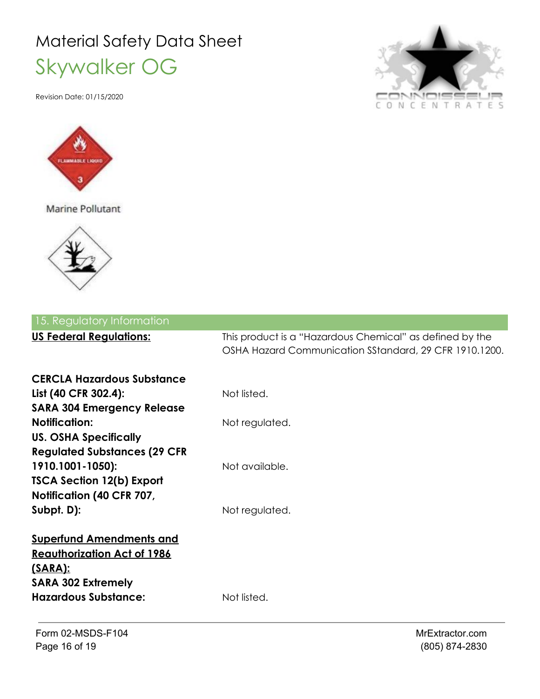Revision Date: 01/15/2020



Marine Pollutant



| $\subset$ | ONCENTRATES |  |  |  |  |
|-----------|-------------|--|--|--|--|

| 15. Regulatory Information                                    |                                                                                                                    |
|---------------------------------------------------------------|--------------------------------------------------------------------------------------------------------------------|
| <b>US Federal Regulations:</b>                                | This product is a "Hazardous Chemical" as defined by the<br>OSHA Hazard Communication SStandard, 29 CFR 1910.1200. |
| <b>CERCLA Hazardous Substance</b><br>List (40 CFR 302.4):     | Not listed.                                                                                                        |
| <b>SARA 304 Emergency Release</b>                             |                                                                                                                    |
| <b>Notification:</b><br><b>US. OSHA Specifically</b>          | Not regulated.                                                                                                     |
| <b>Regulated Substances (29 CFR</b><br>1910.1001-1050):       | Not available.                                                                                                     |
| <b>TSCA Section 12(b) Export</b><br>Notification (40 CFR 707, |                                                                                                                    |
| Subpt. $D$ ):                                                 | Not regulated.                                                                                                     |
| <b>Superfund Amendments and</b>                               |                                                                                                                    |
| <b>Reauthorization Act of 1986</b><br><u>(SARA):</u>          |                                                                                                                    |
| <b>SARA 302 Extremely</b><br><b>Hazardous Substance:</b>      | Not listed.                                                                                                        |
|                                                               |                                                                                                                    |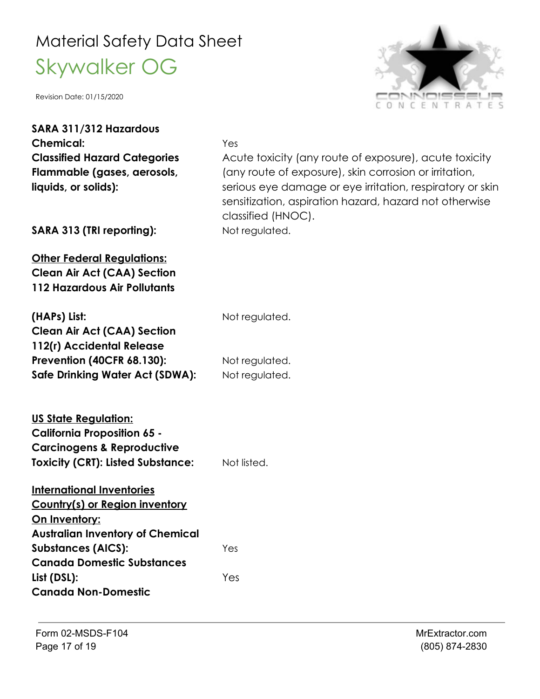

| SARA 311/312 Hazardous                                                                                                                                        |                                                                                                                                                                                                                                                               |
|---------------------------------------------------------------------------------------------------------------------------------------------------------------|---------------------------------------------------------------------------------------------------------------------------------------------------------------------------------------------------------------------------------------------------------------|
| <b>Chemical:</b>                                                                                                                                              | Yes                                                                                                                                                                                                                                                           |
| <b>Classified Hazard Categories</b><br>Flammable (gases, aerosols,<br>liquids, or solids):                                                                    | Acute toxicity (any route of exposure), acute toxicity<br>(any route of exposure), skin corrosion or irritation,<br>serious eye damage or eye irritation, respiratory or skin<br>sensitization, aspiration hazard, hazard not otherwise<br>classified (HNOC). |
| SARA 313 (TRI reporting):                                                                                                                                     | Not regulated.                                                                                                                                                                                                                                                |
| <b>Other Federal Regulations:</b><br><b>Clean Air Act (CAA) Section</b><br><b>112 Hazardous Air Pollutants</b>                                                |                                                                                                                                                                                                                                                               |
| (HAPs) List:                                                                                                                                                  | Not regulated.                                                                                                                                                                                                                                                |
| <b>Clean Air Act (CAA) Section</b>                                                                                                                            |                                                                                                                                                                                                                                                               |
| 112(r) Accidental Release                                                                                                                                     |                                                                                                                                                                                                                                                               |
| <b>Prevention (40CFR 68.130):</b>                                                                                                                             | Not regulated.                                                                                                                                                                                                                                                |
| <b>Safe Drinking Water Act (SDWA):</b>                                                                                                                        | Not regulated.                                                                                                                                                                                                                                                |
| <u><b>US State Regulation:</b></u><br><b>California Proposition 65 -</b><br><b>Carcinogens &amp; Reproductive</b><br><b>Toxicity (CRT): Listed Substance:</b> | Not listed.                                                                                                                                                                                                                                                   |
| <b>International Inventories</b><br>Country(s) or Region inventory<br><u> On Inventory:</u><br><b>Australian Inventory of Chemical</b>                        |                                                                                                                                                                                                                                                               |
| <b>Substances (AICS):</b>                                                                                                                                     | Yes                                                                                                                                                                                                                                                           |
| <b>Canada Domestic Substances</b>                                                                                                                             |                                                                                                                                                                                                                                                               |
| List (DSL):                                                                                                                                                   | Yes                                                                                                                                                                                                                                                           |
| <b>Canada Non-Domestic</b>                                                                                                                                    |                                                                                                                                                                                                                                                               |
|                                                                                                                                                               |                                                                                                                                                                                                                                                               |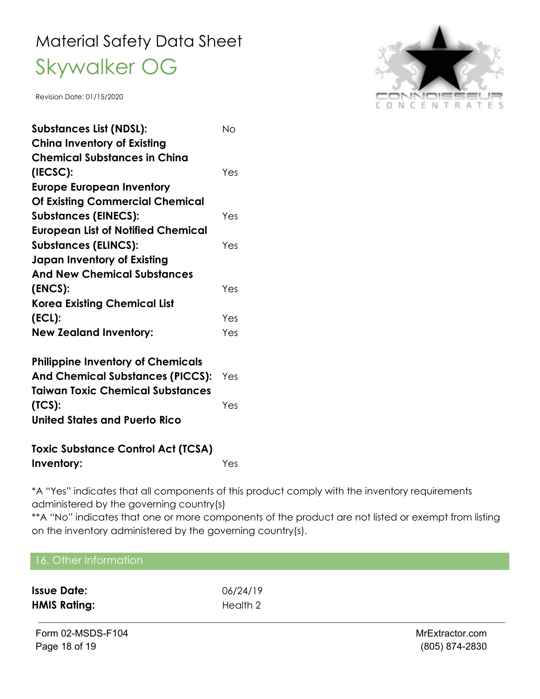Revision Date: 01/15/2020

| <b>Substances List (NDSL):</b>            | Nο  |
|-------------------------------------------|-----|
| <b>China Inventory of Existing</b>        |     |
| <b>Chemical Substances in China</b>       |     |
| (IECSC):                                  | Yes |
| <b>Europe European Inventory</b>          |     |
| <b>Of Existing Commercial Chemical</b>    |     |
| <b>Substances (EINECS):</b>               | Yes |
| <b>European List of Notified Chemical</b> |     |
| <b>Substances (ELINCS):</b>               | Yes |
| <b>Japan Inventory of Existing</b>        |     |
| <b>And New Chemical Substances</b>        |     |
| (ENCS):                                   | Yes |
| <b>Korea Existing Chemical List</b>       |     |
| (ECL):                                    | Yes |
| <b>New Zealand Inventory:</b>             | Yes |
| <b>Philippine Inventory of Chemicals</b>  |     |

| <b>And Chemical Substances (PICCS):</b> Yes |     |
|---------------------------------------------|-----|
| <b>Taiwan Toxic Chemical Substances</b>     |     |
| (TCS):                                      | Yes |
| <b>United States and Puerto Rico</b>        |     |
|                                             |     |

**Toxic Substance Control Act (TCSA) Inventory:** Yes

\*A "Yes" indicates that all components of this product comply with the inventory requirements administered by the governing country(s)

\*\*A "No" indicates that one or more components of the product are not listed or exempt from listing on the inventory administered by the governing country(s).

| 16. Other Information |          |                  |
|-----------------------|----------|------------------|
| <b>Issue Date:</b>    | 06/24/19 |                  |
| <b>HMIS Rating:</b>   | Health 2 |                  |
| Form 02-MSDS-F104     |          | MrExtractor.com  |
| Page 18 of 19         |          | $(805)$ 874-2830 |